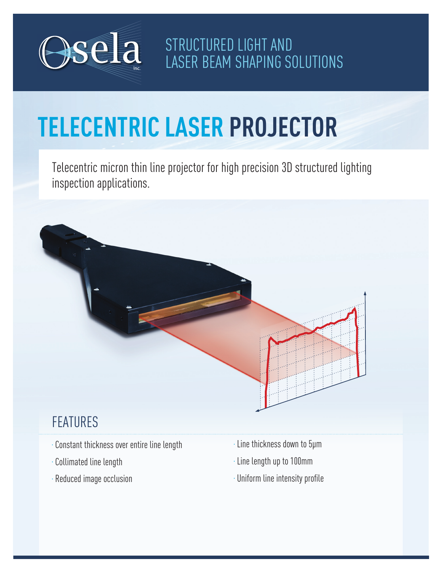# **Isela**

## STRUCTURED LIGHT AND LASER BEAM SHAPING SOLUTIONS

## **TELECENTRIC LASER PROJECTOR**

Telecentric micron thin line projector for high precision 3D structured lighting inspection applications.



#### FEATURES

- Constant thickness over entire line length
- Collimated line length
- Reduced image occlusion
- Line thickness down to 5μm
- Line length up to 100mm
- Uniform line intensity profile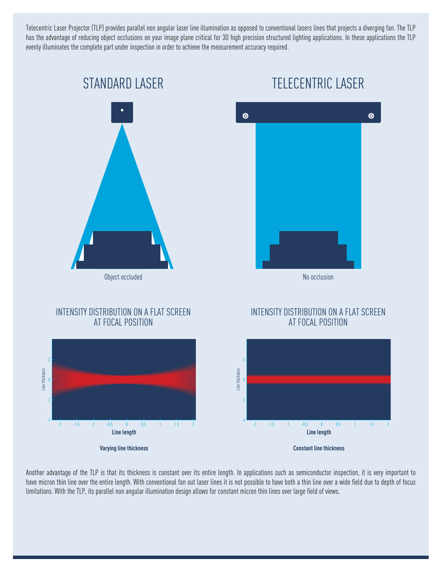Telecentric Laser Projector (TLP) provides parallel non angular laser line illumination as opposed to conventional lasers lines that projects a diverging fan. The TLP has the advantage of reducing object occlusions on your image plane critical for 3D high precision structured lighting applications. In these applications the TLP evenly illuminates the complete part under inspection in order to achieve the measurement accuracy required.



**Varying line thickness**

#### **Constant line thickness**

 $\odot$ 

Another advantage of the TLP is that its thickness is constant over its entire length. In applications such as semiconductor inspection, it is very important to have micron thin line over the entire length. With conventional fan out laser lines it is not possible to have both a thin line over a wide field due to depth of focus limitations. With the TLP, its parallel non angular illumination design allows for constant micron thin lines over large field of views.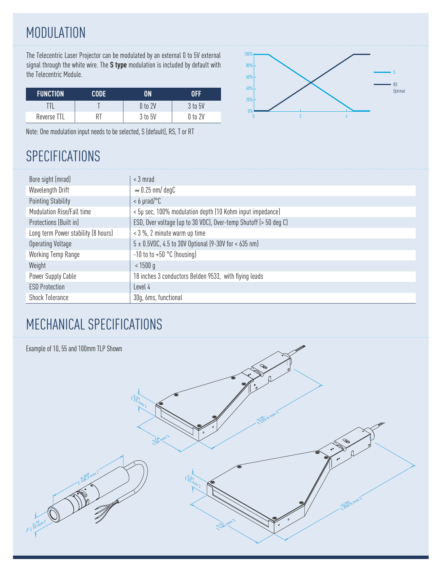### **MODULATION**

The Telecentric Laser Projector can be modulated by an external 0 to 5V external signal through the white wire. The **S type** modulation is included by default with the Telecentric Module.

| <b>FUNCTION</b> | CODE |         | OFF     |  |  |  |
|-----------------|------|---------|---------|--|--|--|
|                 |      | 0 to 2V | 3 to 5V |  |  |  |
| Reverse TTL     |      | 3 to 5V | 0 to 2V |  |  |  |

Note: One modulation input needs to be selected, S (default), RS, T or RT

#### **SPECIFICATIONS**



| Bore sight (mrad)                   | $<$ 3 mrad                                                       |
|-------------------------------------|------------------------------------------------------------------|
| Wavelength Drift                    | $\approx 0.25$ nm/ degC                                          |
| <b>Pointing Stability</b>           | $<$ 6 µrad/ $oC$                                                 |
| Modulation Rise/Fall time           | <5µ sec, 100% modulation depth (10 Kohm input impedance)         |
| Protections (Built in)              | ESD, Over voltage (up to 30 VDC), Over-temp Shutoff (> 50 deg C) |
| Long term Power stability (8 hours) | < 3 %, 2 minute warm up time                                     |
| <b>Operating Voltage</b>            | $5 \pm 0.5$ VDC, 4.5 to 30V Optional (9-30V for < 635 nm)        |
| <b>Working Temp Range</b>           | -10 to to $+50$ °C (housing)                                     |
| Weight                              | < 1500 g                                                         |
| Power Supply Cable                  | 18 inches 3 conductors Belden 9533, with flying leads            |
| <b>ESD Protection</b>               | Level 4                                                          |
| <b>Shock Tolerance</b>              | 30g, 6ms, functional                                             |

#### MECHANICAL SPECIFICATIONS